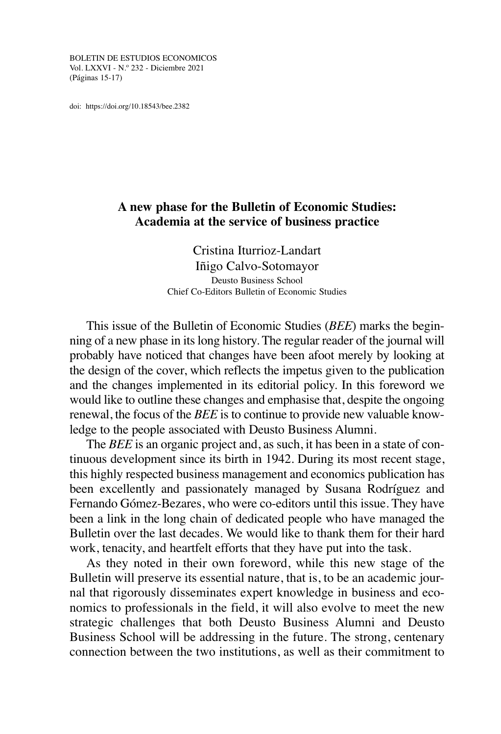BOLETIN DE ESTUDIOS ECONOMICOS Vol. LXXVI - N.º 232 - Diciembre 2021 (Páginas 15-17)

doi: <https://doi.org/10.18543/bee.2382>

## **A new phase for the Bulletin of Economic Studies: Academia at the service of business practice**

Cristina Iturrioz-Landart Iñigo Calvo-Sotomayor Deusto Business School Chief Co-Editors Bulletin of Economic Studies

This issue of the Bulletin of Economic Studies (*BEE*) marks the beginning of a new phase in itslong history. The regular reader of the journal will probably have noticed that changes have been afoot merely by looking at the design of the cover, which reflects the impetus given to the publication and the changes implemented in its editorial policy. In this foreword we would like to outline these changes and emphasise that, despite the ongoing renewal, the focus of the *BEE* is to continue to provide new valuable knowledge to the people associated with Deusto Business Alumni.

The *BEE* is an organic project and, as such, it has been in a state of continuous development since its birth in 1942. During its most recent stage, this highly respected business management and economics publication has been excellently and passionately managed by Susana Rodríguez and Fernando Gómez-Bezares, who were co-editors until this issue. They have been a link in the long chain of dedicated people who have managed the Bulletin over the last decades. We would like to thank them for their hard work, tenacity, and heartfelt efforts that they have put into the task.

As they noted in their own foreword, while this new stage of the Bulletin will preserve its essential nature, that is, to be an academic journal that rigorously disseminates expert knowledge in business and economics to professionals in the field, it will also evolve to meet the new strategic challenges that both Deusto Business Alumni and Deusto Business School will be addressing in the future. The strong, centenary connection between the two institutions, as well as their commitment to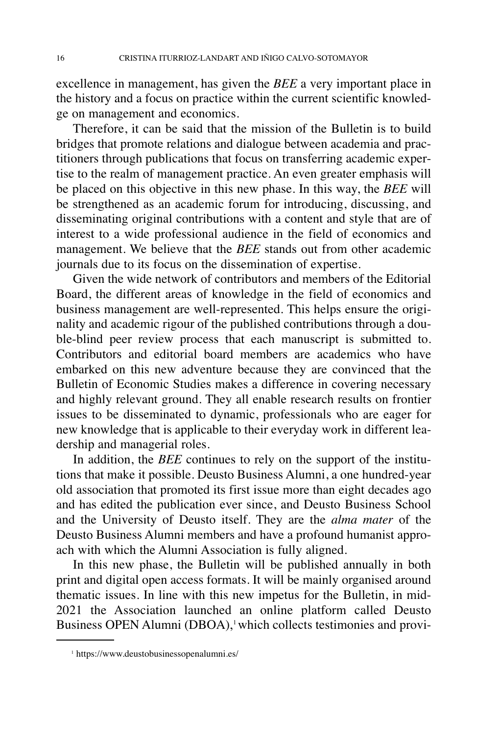excellence in management, has given the *BEE* a very important place in the history and a focus on practice within the current scientific knowledge on management and economics.

Therefore, it can be said that the mission of the Bulletin is to build bridges that promote relations and dialogue between academia and practitioners through publications that focus on transferring academic expertise to the realm of management practice. An even greater emphasis will be placed on this objective in this new phase. In this way, the *BEE* will be strengthened as an academic forum for introducing, discussing, and disseminating original contributions with a content and style that are of interest to a wide professional audience in the field of economics and management. We believe that the *BEE* stands out from other academic journals due to its focus on the dissemination of expertise.

Given the wide network of contributors and members of the Editorial Board, the different areas of knowledge in the field of economics and business management are well-represented. This helps ensure the originality and academic rigour of the published contributions through a double-blind peer review process that each manuscript is submitted to. Contributors and editorial board members are academics who have embarked on this new adventure because they are convinced that the Bulletin of Economic Studies makes a difference in covering necessary and highly relevant ground. They all enable research results on frontier issues to be disseminated to dynamic, professionals who are eager for new knowledge that is applicable to their everyday work in different leadership and managerial roles.

In addition, the *BEE* continues to rely on the support of the institutions that make it possible. Deusto Business Alumni, a one hundred-year old association that promoted its first issue more than eight decades ago and has edited the publication ever since, and Deusto Business School and the University of Deusto itself. They are the *alma mater* of the Deusto Business Alumni members and have a profound humanist approach with which the Alumni Association is fully aligned.

In this new phase, the Bulletin will be published annually in both print and digital open access formats. It will be mainly organised around thematic issues. In line with this new impetus for the Bulletin, in mid-2021 the Association launched an online platform called Deusto Business OPEN Alumni (DBOA), 1which collects testimonies and provi-

<sup>1</sup> https://www.deustobusinessopenalumni.es/